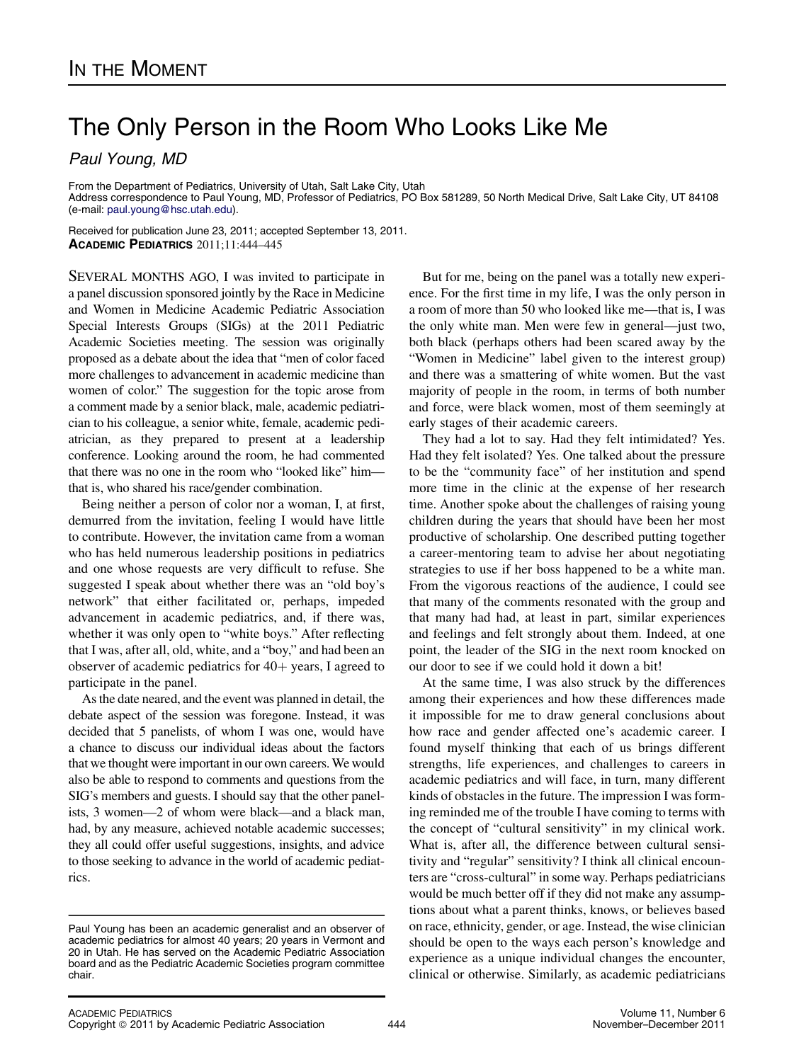## The Only Person in the Room Who Looks Like Me

Paul Young, MD

From the Department of Pediatrics, University of Utah, Salt Lake City, Utah Address correspondence to Paul Young, MD, Professor of Pediatrics, PO Box 581289, 50 North Medical Drive, Salt Lake City, UT 84108 (e-mail: [paul.young@hsc.utah.edu](mailto:paul.young@hsc.utah.edu)).

Received for publication June 23, 2011; accepted September 13, 2011. ACADEMIC PEDIATRICS 2011;11:444–445

SEVERAL MONTHS AGO, I was invited to participate in a panel discussion sponsored jointly by the Race in Medicine and Women in Medicine Academic Pediatric Association Special Interests Groups (SIGs) at the 2011 Pediatric Academic Societies meeting. The session was originally proposed as a debate about the idea that "men of color faced more challenges to advancement in academic medicine than women of color." The suggestion for the topic arose from a comment made by a senior black, male, academic pediatrician to his colleague, a senior white, female, academic pediatrician, as they prepared to present at a leadership conference. Looking around the room, he had commented that there was no one in the room who "looked like" him that is, who shared his race/gender combination.

Being neither a person of color nor a woman, I, at first, demurred from the invitation, feeling I would have little to contribute. However, the invitation came from a woman who has held numerous leadership positions in pediatrics and one whose requests are very difficult to refuse. She suggested I speak about whether there was an "old boy's network" that either facilitated or, perhaps, impeded advancement in academic pediatrics, and, if there was, whether it was only open to "white boys." After reflecting that I was, after all, old, white, and a "boy," and had been an observer of academic pediatrics for  $40+$  years, I agreed to participate in the panel.

As the date neared, and the event was planned in detail, the debate aspect of the session was foregone. Instead, it was decided that 5 panelists, of whom I was one, would have a chance to discuss our individual ideas about the factors that we thought were important in our own careers. We would also be able to respond to comments and questions from the SIG's members and guests. I should say that the other panelists, 3 women—2 of whom were black—and a black man, had, by any measure, achieved notable academic successes; they all could offer useful suggestions, insights, and advice to those seeking to advance in the world of academic pediatrics.

But for me, being on the panel was a totally new experience. For the first time in my life, I was the only person in a room of more than 50 who looked like me—that is, I was the only white man. Men were few in general—just two, both black (perhaps others had been scared away by the "Women in Medicine" label given to the interest group) and there was a smattering of white women. But the vast majority of people in the room, in terms of both number and force, were black women, most of them seemingly at early stages of their academic careers.

They had a lot to say. Had they felt intimidated? Yes. Had they felt isolated? Yes. One talked about the pressure to be the "community face" of her institution and spend more time in the clinic at the expense of her research time. Another spoke about the challenges of raising young children during the years that should have been her most productive of scholarship. One described putting together a career-mentoring team to advise her about negotiating strategies to use if her boss happened to be a white man. From the vigorous reactions of the audience, I could see that many of the comments resonated with the group and that many had had, at least in part, similar experiences and feelings and felt strongly about them. Indeed, at one point, the leader of the SIG in the next room knocked on our door to see if we could hold it down a bit!

At the same time, I was also struck by the differences among their experiences and how these differences made it impossible for me to draw general conclusions about how race and gender affected one's academic career. I found myself thinking that each of us brings different strengths, life experiences, and challenges to careers in academic pediatrics and will face, in turn, many different kinds of obstacles in the future. The impression I was forming reminded me of the trouble I have coming to terms with the concept of "cultural sensitivity" in my clinical work. What is, after all, the difference between cultural sensitivity and "regular" sensitivity? I think all clinical encounters are "cross-cultural" in some way. Perhaps pediatricians would be much better off if they did not make any assumptions about what a parent thinks, knows, or believes based on race, ethnicity, gender, or age. Instead, the wise clinician should be open to the ways each person's knowledge and experience as a unique individual changes the encounter, clinical or otherwise. Similarly, as academic pediatricians

Paul Young has been an academic generalist and an observer of academic pediatrics for almost 40 years; 20 years in Vermont and 20 in Utah. He has served on the Academic Pediatric Association board and as the Pediatric Academic Societies program committee chair.